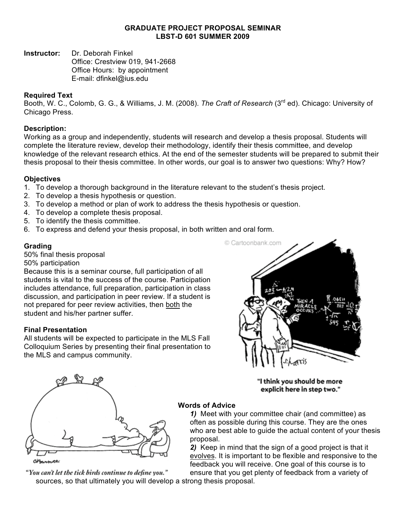#### **GRADUATE PROJECT PROPOSAL SEMINAR LBST-D 601 SUMMER 2009**

**Instructor:** Dr. Deborah Finkel

Office: Crestview 019, 941-2668 Office Hours: by appointment E-mail: dfinkel@ius.edu

## **Required Text**

Booth, W. C., Colomb, G. G., & Williams, J. M. (2008). *The Craft of Research* (3rd ed). Chicago: University of Chicago Press.

## **Description:**

Working as a group and independently, students will research and develop a thesis proposal. Students will complete the literature review, develop their methodology, identify their thesis committee, and develop knowledge of the relevant research ethics. At the end of the semester students will be prepared to submit their thesis proposal to their thesis committee. In other words, our goal is to answer two questions: Why? How?

# **Objectives**

- 1. To develop a thorough background in the literature relevant to the student's thesis project.
- 2. To develop a thesis hypothesis or question.
- 3. To develop a method or plan of work to address the thesis hypothesis or question.
- 4. To develop a complete thesis proposal.
- 5. To identify the thesis committee.
- 6. To express and defend your thesis proposal, in both written and oral form.

# **Grading**

50% final thesis proposal

50% participation

Because this is a seminar course, full participation of all students is vital to the success of the course. Participation includes attendance, full preparation, participation in class discussion, and participation in peer review. If a student is not prepared for peer review activities, then both the student and his/her partner suffer.

### **Final Presentation**

All students will be expected to participate in the MLS Fall Colloquium Series by presenting their final presentation to the MLS and campus community.





"I think you should be more explicit here in step two."

### **Words of Advice**

*1)* Meet with your committee chair (and committee) as often as possible during this course. They are the ones who are best able to guide the actual content of your thesis proposal.

*2)* Keep in mind that the sign of a good project is that it evolves. It is important to be flexible and responsive to the feedback you will receive. One goal of this course is to

"You can't let the tick birds continue to define you." sources, so that ultimately you will develop a strong thesis proposal.

ensure that you get plenty of feedback from a variety of